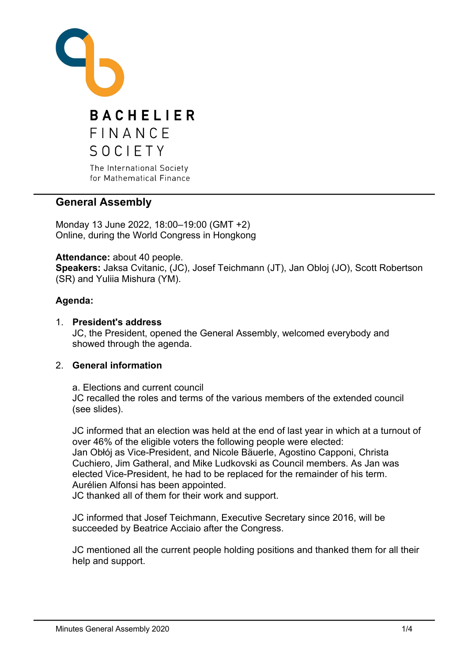

# **General Assembly**

Monday 13 June 2022, 18:00–19:00 (GMT +2) Online, during the World Congress in Hongkong

**Attendance:** about 40 people.

**Speakers:** Jaksa Cvitanic, (JC), Josef Teichmann (JT), Jan Obloj (JO), Scott Robertson (SR) and Yuliia Mishura (YM).

# **Agenda:**

1. **President's address** JC, the President, opened the General Assembly, welcomed everybody and showed through the agenda.

# 2. **General information**

a. Elections and current council JC recalled the roles and terms of the various members of the extended council (see slides).

JC informed that an election was held at the end of last year in which at a turnout of over 46% of the eligible voters the following people were elected: Jan Obłój as Vice-President, and Nicole Bäuerle, Agostino Capponi, Christa Cuchiero, Jim Gatheral, and Mike Ludkovski as Council members. As Jan was elected Vice-President, he had to be replaced for the remainder of his term. Aurélien Alfonsi has been appointed.

JC thanked all of them for their work and support.

JC informed that Josef Teichmann, Executive Secretary since 2016, will be succeeded by Beatrice Acciaio after the Congress.

JC mentioned all the current people holding positions and thanked them for all their help and support.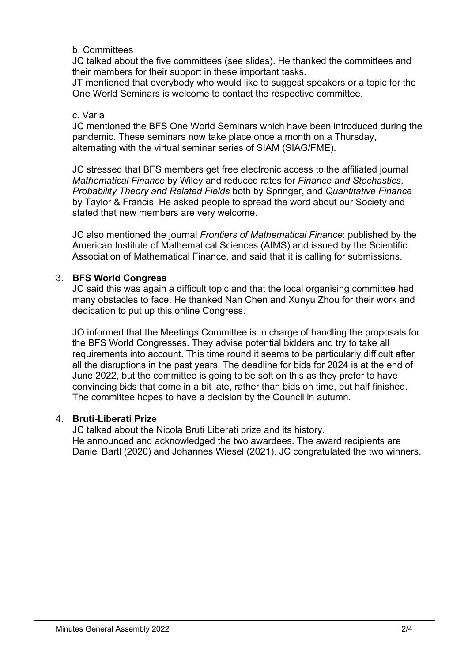### b. Committees

JC talked about the five committees (see slides). He thanked the committees and their members for their support in these important tasks.

JT mentioned that everybody who would like to suggest speakers or a topic for the One World Seminars is welcome to contact the respective committee.

#### c. Varia

JC mentioned the BFS One World Seminars which have been introduced during the pandemic. These seminars now take place once a month on a Thursday, alternating with the virtual seminar series of SIAM (SIAG/FME).

JC stressed that BFS members get free electronic access to the affiliated journal *Mathematical Finance* by Wiley and reduced rates for *Finance and Stochastics*, *Probability Theory and Related Fields* both by Springer, and *Quantitative Finance* by Taylor & Francis. He asked people to spread the word about our Society and stated that new members are very welcome.

JC also mentioned the journal *Frontiers of Mathematical Finance*: published by the American Institute of Mathematical Sciences (AIMS) and issued by the Scientific Association of Mathematical Finance, and said that it is calling for submissions.

### 3. **BFS World Congress**

JC said this was again a difficult topic and that the local organising committee had many obstacles to face. He thanked Nan Chen and Xunyu Zhou for their work and dedication to put up this online Congress.

JO informed that the Meetings Committee is in charge of handling the proposals for the BFS World Congresses. They advise potential bidders and try to take all requirements into account. This time round it seems to be particularly difficult after all the disruptions in the past years. The deadline for bids for 2024 is at the end of June 2022, but the committee is going to be soft on this as they prefer to have convincing bids that come in a bit late, rather than bids on time, but half finished. The committee hopes to have a decision by the Council in autumn.

# 4. **Bruti-Liberati Prize**

JC talked about the Nicola Bruti Liberati prize and its history. He announced and acknowledged the two awardees. The award recipients are Daniel Bartl (2020) and Johannes Wiesel (2021). JC congratulated the two winners.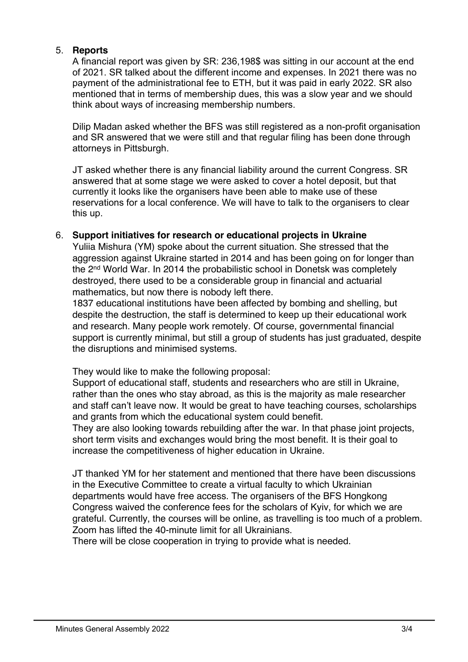### 5. **Reports**

A financial report was given by SR: 236,198\$ was sitting in our account at the end of 2021. SR talked about the different income and expenses. In 2021 there was no payment of the administrational fee to ETH, but it was paid in early 2022. SR also mentioned that in terms of membership dues, this was a slow year and we should think about ways of increasing membership numbers.

Dilip Madan asked whether the BFS was still registered as a non-profit organisation and SR answered that we were still and that regular filing has been done through attorneys in Pittsburgh.

JT asked whether there is any financial liability around the current Congress. SR answered that at some stage we were asked to cover a hotel deposit, but that currently it looks like the organisers have been able to make use of these reservations for a local conference. We will have to talk to the organisers to clear this up.

### 6. **Support initiatives for research or educational projects in Ukraine**

Yuliia Mishura (YM) spoke about the current situation. She stressed that the aggression against Ukraine started in 2014 and has been going on for longer than the 2nd World War. In 2014 the probabilistic school in Donetsk was completely destroyed, there used to be a considerable group in financial and actuarial mathematics, but now there is nobody left there.

1837 educational institutions have been affected by bombing and shelling, but despite the destruction, the staff is determined to keep up their educational work and research. Many people work remotely. Of course, governmental financial support is currently minimal, but still a group of students has just graduated, despite the disruptions and minimised systems.

They would like to make the following proposal:

Support of educational staff, students and researchers who are still in Ukraine, rather than the ones who stay abroad, as this is the majority as male researcher and staff can't leave now. It would be great to have teaching courses, scholarships and grants from which the educational system could benefit.

They are also looking towards rebuilding after the war. In that phase joint projects, short term visits and exchanges would bring the most benefit. It is their goal to increase the competitiveness of higher education in Ukraine.

JT thanked YM for her statement and mentioned that there have been discussions in the Executive Committee to create a virtual faculty to which Ukrainian departments would have free access. The organisers of the BFS Hongkong Congress waived the conference fees for the scholars of Kyiv, for which we are grateful. Currently, the courses will be online, as travelling is too much of a problem. Zoom has lifted the 40-minute limit for all Ukrainians.

There will be close cooperation in trying to provide what is needed.